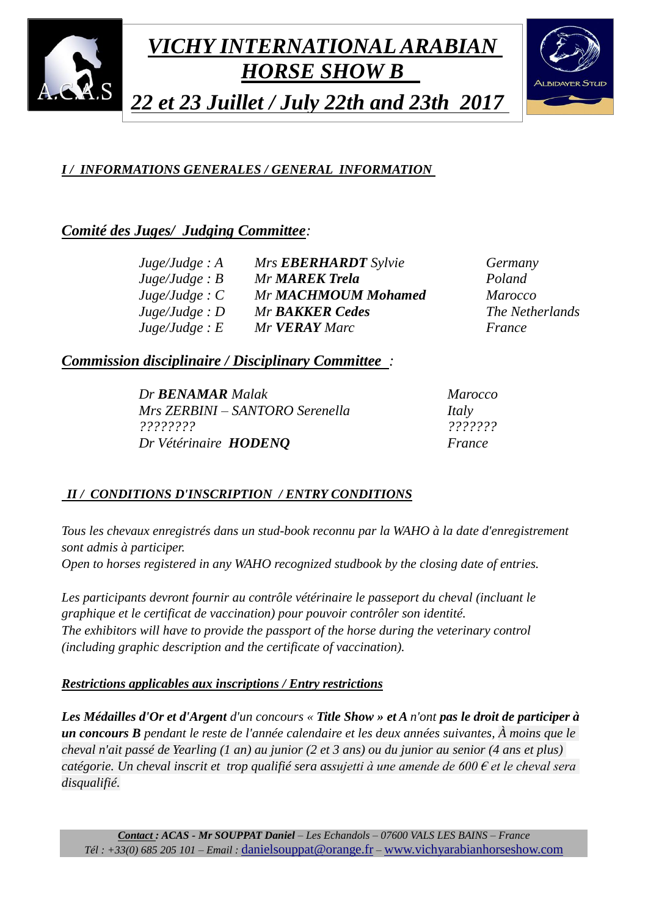



*22 et 23 Juillet / July 22th and 23th 2017*

### *I / INFORMATIONS GENERALES / GENERAL INFORMATION*

# *Comité des Juges/ Judging Committee:*

| Juge/Judge: A  | Mrs <b>EBERHARDT</b> Sylvie | Germany         |
|----------------|-----------------------------|-----------------|
| Juge/Judge : B | Mr <b>MAREK</b> Trela       | Poland          |
| Juge/Judge: C  | Mr MACHMOUM Mohamed         | <b>Marocco</b>  |
| Juge/Judge : D | <b>Mr BAKKER Cedes</b>      | The Netherlands |
| Juge/Judge : E | Mr <b>VERAY</b> Marc        | France          |

# *Commission disciplinaire / Disciplinary Committee :*

*Dr BENAMAR Malak Marocco Mrs ZERBINI – SANTORO Serenella Italy ???????? ??????? Dr Vétérinaire HODENQ France*

# *II / CONDITIONS D'INSCRIPTION / ENTRY CONDITIONS*

*Tous les chevaux enregistrés dans un stud-book reconnu par la WAHO à la date d'enregistrement sont admis à participer. Open to horses registered in any WAHO recognized studbook by the closing date of entries.*

*Les participants devront fournir au contrôle vétérinaire le passeport du cheval (incluant le graphique et le certificat de vaccination) pour pouvoir contrôler son identité. The exhibitors will have to provide the passport of the horse during the veterinary control (including graphic description and the certificate of vaccination).*

### *Restrictions applicables aux inscriptions / Entry restrictions*

Les Médailles d'Or et d'Argent d'un concours « Title Show » et A n'ont pas le droit de participer à *un concours B pendant le reste de l'année calendaire et les deux années suivantes, À moins que le cheval n'ait passé de Yearling (1 an) au junior (2 et 3 ans) ou du junior au senior (4 ans et plus) catégorie. Un cheval inscrit et trop qualifié sera assujetti à une amende de 600 € et le cheval sera disqualifié.*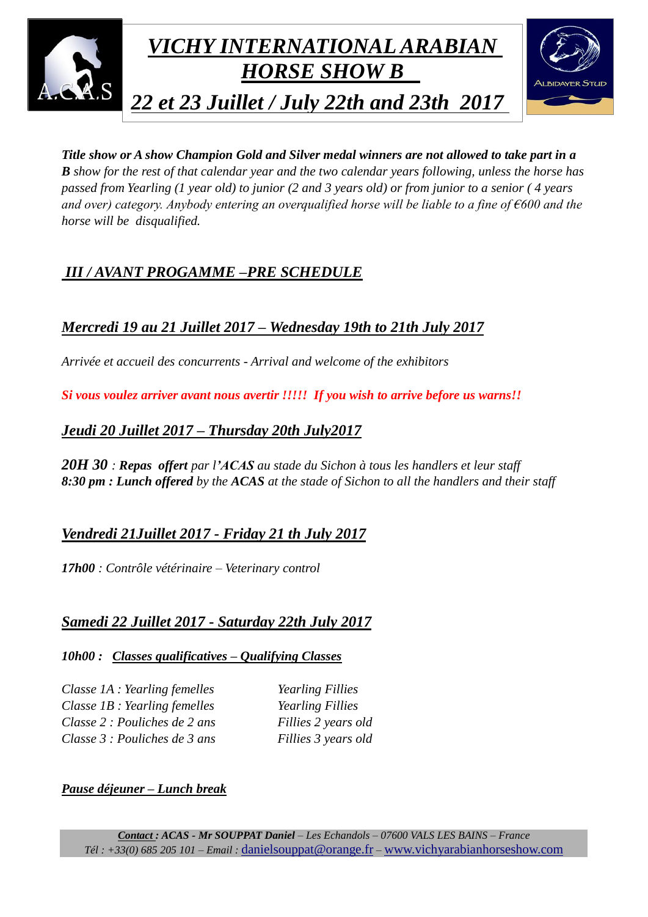

*Title show or A show Champion Gold and Silver medal winners are not allowed to take part in a* **B** show for the rest of that calendar year and the two calendar years following, unless the horse has *passed from Yearling (1 year old) to junior (2 and 3 years old) or from junior to a senior ( 4 years and over) category. Anybody entering an overqualified horse will be liable to a fine of €600 and the horse will be disqualified.*

# *III / AVANT PROGAMME –PRE SCHEDULE*

# *Mercredi 19 au 21 Juillet 2017 – Wednesday 19th to 21th July 2017*

*Arrivée et accueil des concurrents - Arrival and welcome of the exhibitors*

*Si vous voulez arriver avant nous avertir !!!!! If you wish to arrive before us warns!!*

### *Jeudi 20 Juillet 2017 – Thursday 20th July2017*

*20H 30 : Repas offert par l'ACAS au stade du Sichon à tous les handlers et leur staff 8:30 pm : Lunch offered by the ACAS at the stade of Sichon to all the handlers and their staff*

# *Vendredi 21Juillet 2017 - Friday 21 th July 2017*

*17h00 : Contrôle vétérinaire – Veterinary control*

### *Samedi 22 Juillet 2017 - Saturday 22th July 2017*

### *10h00 : Classes qualificatives – Qualifying Classes*

*Classe 1A : Yearling femelles Yearling Fillies Classe 1B : Yearling femelles Yearling Fillies Classe 2 : Pouliches de 2 ans Fillies 2 years old Classe 3 : Pouliches de 3 ans Fillies 3 years old*

### *Pause déjeuner – Lunch break*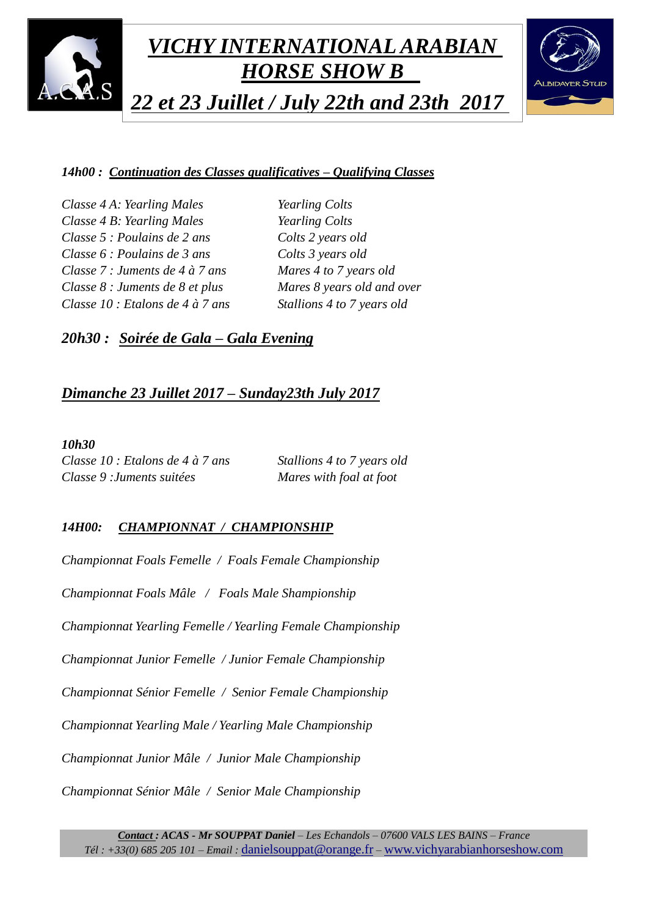



*22 et 23 Juillet / July 22th and 23th 2017*

### *14h00 : Continuation des Classes qualificatives – Qualifying Classes*

*Classe 4 A: Yearling Males Yearling Colts Classe 4 B: Yearling Males Yearling Colts Classe 5 : Poulains de 2 ans Colts 2 years old Classe 6 : Poulains de 3 ans Colts 3 years old Classe 7 : Juments de 4 à 7 ans Mares 4 to 7 years old Classe 8 : Juments de 8 et plus Mares 8 years old and over Classe 10 : Etalons de 4 à 7 ans Stallions 4 to 7 years old*

# *20h30 : Soirée de Gala – Gala Evening*

### *Dimanche 23 Juillet 2017 – Sunday23th July 2017*

### *10h30*

*Classe 10 : Etalons de 4 à 7 ans Stallions 4 to 7 years old Classe 9 :Juments suitées Mares with foal at foot*

### *14H00: CHAMPIONNAT / CHAMPIONSHIP*

*Championnat Foals Femelle / Foals Female Championship*

*Championnat Foals Mâle / Foals Male Shampionship*

*Championnat Yearling Femelle / Yearling Female Championship*

*Championnat Junior Femelle / Junior Female Championship*

*Championnat Sénior Femelle / Senior Female Championship*

*Championnat Yearling Male / Yearling Male Championship*

*Championnat Junior Mâle / Junior Male Championship*

*Championnat Sénior Mâle / Senior Male Championship*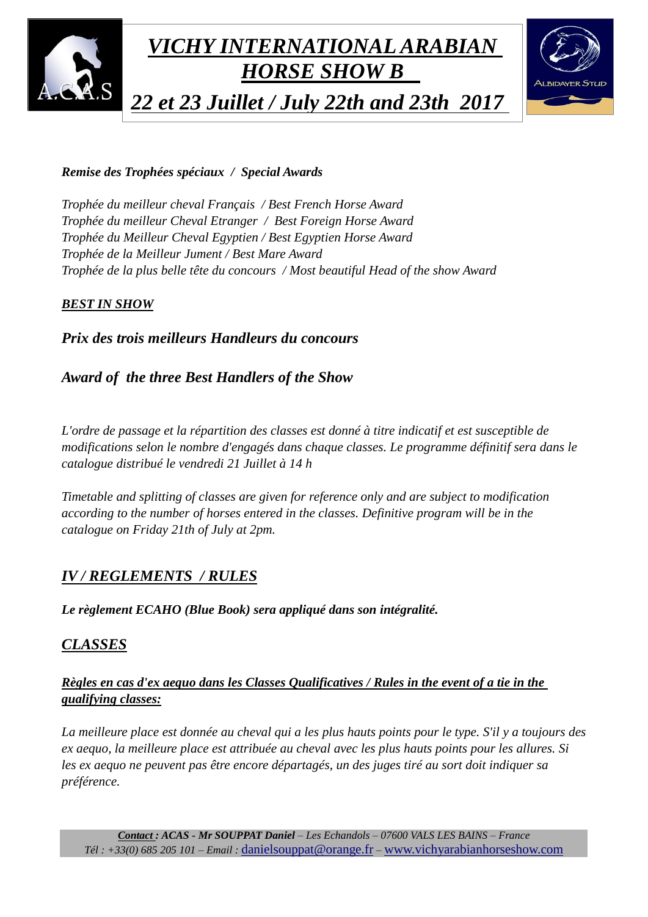



*22 et 23 Juillet / July 22th and 23th 2017*

### *Remise des Trophées spéciaux / Special Awards*

*Trophée du meilleur cheval Français / Best French Horse Award Trophée du meilleur Cheval Etranger / Best Foreign Horse Award Trophée du Meilleur Cheval Egyptien / Best Egyptien Horse Award Trophée de la Meilleur Jument / Best Mare Award Trophée de la plus belle tête du concours / Most beautiful Head of the show Award*

### *BEST IN SHOW*

*Prix des trois meilleurs Handleurs du concours*

# *Award of the three Best Handlers of the Show*

*L'ordre de passage et la répartition des classes est donné à titre indicatif et est susceptible de modifications selon le nombre d'engagés dans chaque classes. Le programme définitif sera dans le catalogue distribué le vendredi 21 Juillet à 14 h*

*Timetable and splitting of classes are given for reference only and are subject to modification according to the number of horses entered in the classes. Definitive program will be in the catalogue on Friday 21th of July at 2pm.*

# *IV / REGLEMENTS / RULES*

*Le règlement ECAHO (Blue Book) sera appliqué dans son intégralité.*

# *CLASSES*

### *Règles en cas d'ex aequo dans les Classes Qualificatives / Rules in the event of a tie in the qualifying classes:*

La meilleure place est donnée au cheval qui a les plus hauts points pour le type. S'il y a toujours des ex aequo, la meilleure place est attribuée au cheval avec les plus hauts points pour les allures. Si *les ex aequo ne peuvent pas être encore départagés, un des juges tiré au sort doit indiquer sa préférence.*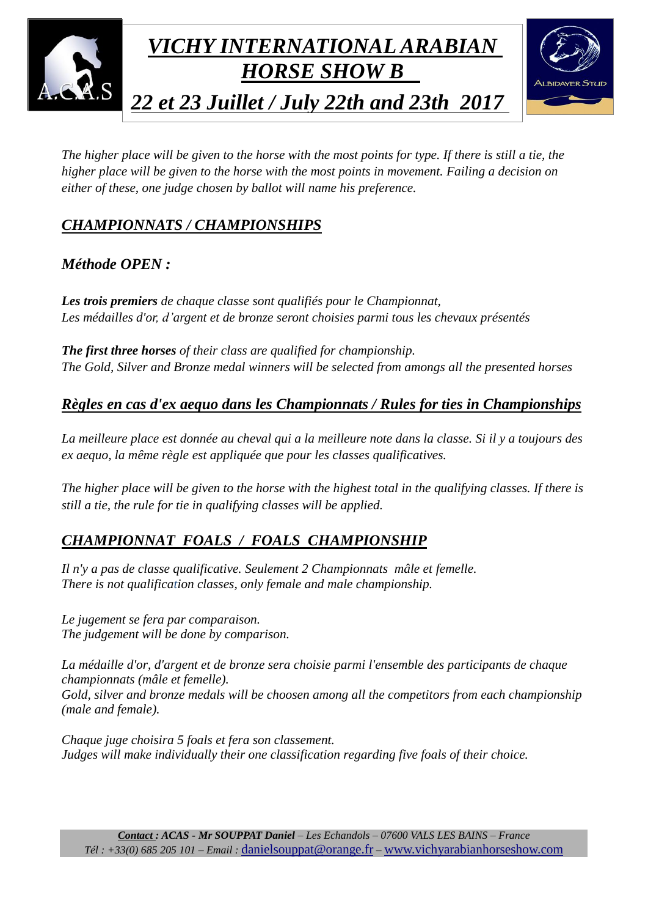

The higher place will be given to the horse with the most points for type. If there is still a tie, the *higher place will be given to the horse with the most points in movement. Failing a decision on either of these, one judge chosen by ballot will name his preference.*

# *CHAMPIONNATS / CHAMPIONSHIPS*

### *Méthode OPEN :*

*Les trois premiers de chaque classe sont qualifiés pour le Championnat, Les médailles d'or, d'argent et de bronze seront choisies parmi tous les chevaux présentés*

*The first three horses of their class are qualified for championship. The Gold, Silver and Bronze medal winners will be selected from amongs all the presented horses*

# *Règles en cas d'ex aequo dans les Championnats / Rules for ties in Championships*

La meilleure place est donnée au cheval qui a la meilleure note dans la classe. Si il y a toujours des *ex aequo, la même règle est appliquée que pour les classes qualificatives.*

The higher place will be given to the horse with the highest total in the qualifying classes. If there is *still a tie, the rule for tie in qualifying classes will be applied.*

# *CHAMPIONNAT FOALS / FOALS CHAMPIONSHIP*

*Il n'y a pas de classe qualificative. Seulement 2 Championnats mâle et femelle. There is not qualification classes, only female and male championship.*

*Le jugement se fera par comparaison. The judgement will be done by comparison.*

*La médaille d'or, d'argent et de bronze sera choisie parmi l'ensemble des participants de chaque championnats (mâle et femelle). Gold, silver and bronze medals will be choosen among all the competitors from each championship (male and female).*

*Chaque juge choisira 5 foals et fera son classement. Judges will make individually their one classification regarding five foals of their choice.*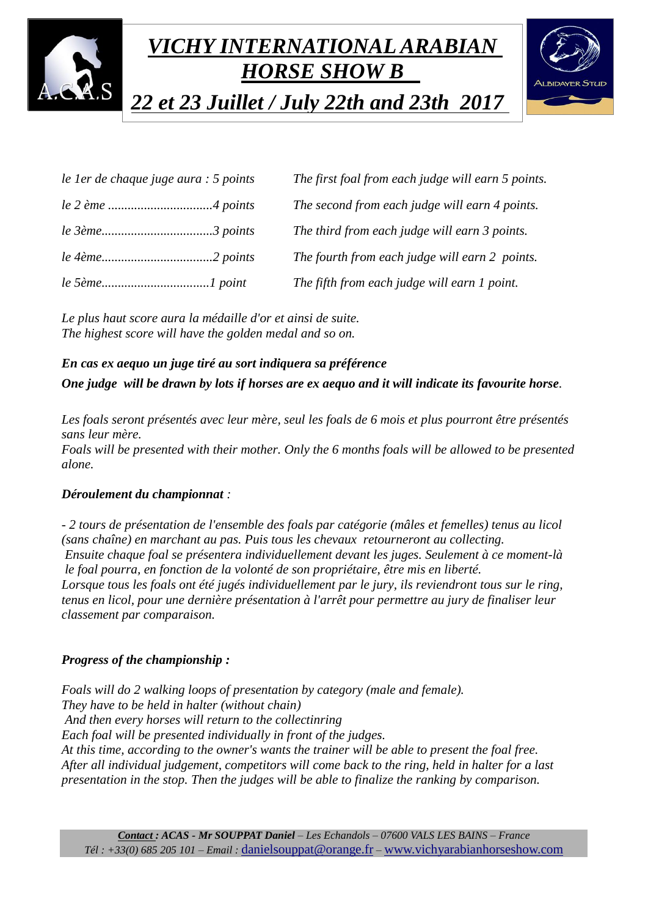



*22 et 23 Juillet / July 22th and 23th 2017*

| le 1 er de chaque juge aura : 5 points | The first foal from each judge will earn 5 points. |  |
|----------------------------------------|----------------------------------------------------|--|
|                                        | The second from each judge will earn 4 points.     |  |
|                                        | The third from each judge will earn 3 points.      |  |
|                                        | The fourth from each judge will earn 2 points.     |  |
|                                        | The fifth from each judge will earn 1 point.       |  |

*Le plus haut score aura la médaille d'or et ainsi de suite. The highest score will have the golden medal and so on.*

### *En cas ex aequo un juge tiré au sort indiquera sa préférence One judge will be drawn by lots if horses are ex aequo and it will indicate its favourite horse.*

*Les foals seront présentés avec leur mère, seul les foals de 6 mois et plus pourront être présentés sans leur mère.*

*Foals will be presented with their mother. Only the 6 months foals will be allowed to be presented alone.*

### *Déroulement du championnat :*

*- 2 tours de présentation de l'ensemble des foals par catégorie (mâles et femelles) tenus au licol (sans chaîne) en marchant au pas. Puis tous les chevaux retourneront au collecting. Ensuite chaque foal se présentera individuellement devant les juges. Seulement à ce moment-là le foal pourra, en fonction de la volonté de son propriétaire, être mis en liberté. Lorsque tous les foals ont été jugés individuellement par le jury, ils reviendront tous sur le ring, tenus en licol, pour une dernière présentation à l'arrêt pour permettre au jury de finaliser leur classement par comparaison.*

### *Progress of the championship :*

*Foals will do 2 walking loops of presentation by category (male and female). They have to be held in halter (without chain) And then every horses will return to the collectinring Each foal will be presented individually in front of the judges. At this time, according to the owner's wants the trainer will be able to present the foal free. After all individual judgement, competitors will come back to the ring, held in halter for a last presentation in the stop. Then the judges will be able to finalize the ranking by comparison.*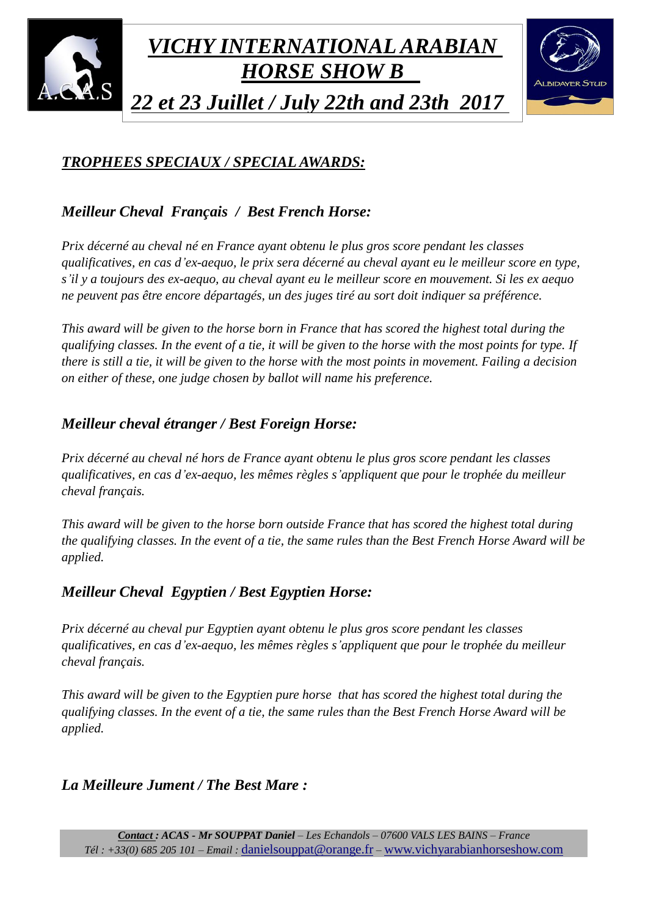



*22 et 23 Juillet / July 22th and 23th 2017*

# *TROPHEES SPECIAUX / SPECIAL AWARDS:*

*Meilleur Cheval Français / Best French Horse:*

*Prix décerné au cheval né en France ayant obtenu le plus gros score pendant les classes qualificatives, en cas d'ex-aequo, le prix sera décerné au cheval ayant eu le meilleur score en type,* s'il y a toujours des ex-aequo, au cheval ayant eu le meilleur score en mouvement. Si les ex aequo *ne peuvent pas être encore départagés, un des juges tiré au sort doit indiquer sa préférence.*

*This award will be given to the horse born in France that has scored the highest total during the qualifying classes. In the event of a tie, it will be given to the horse with the most points for type. If* there is still a tie, it will be given to the horse with the most points in movement. Failing a decision *on either of these, one judge chosen by ballot will name his preference.*

# *Meilleur cheval étranger / Best Foreign Horse:*

*Prix décerné au cheval né hors de France ayant obtenu le plus gros score pendant les classes qualificatives, en cas d'ex-aequo, les mêmes règles s'appliquent que pour le trophée du meilleur cheval français.*

*This award will be given to the horse born outside France that has scored the highest total during the qualifying classes. In the event of a tie, the same rules than the Best French Horse Award will be applied.*

# *Meilleur Cheval Egyptien / Best Egyptien Horse:*

*Prix décerné au cheval pur Egyptien ayant obtenu le plus gros score pendant les classes qualificatives, en cas d'ex-aequo, les mêmes règles s'appliquent que pour le trophée du meilleur cheval français.*

*This award will be given to the Egyptien pure horse that has scored the highest total during the qualifying classes. In the event of a tie, the same rules than the Best French Horse Award will be applied.*

# *La Meilleure Jument / The Best Mare :*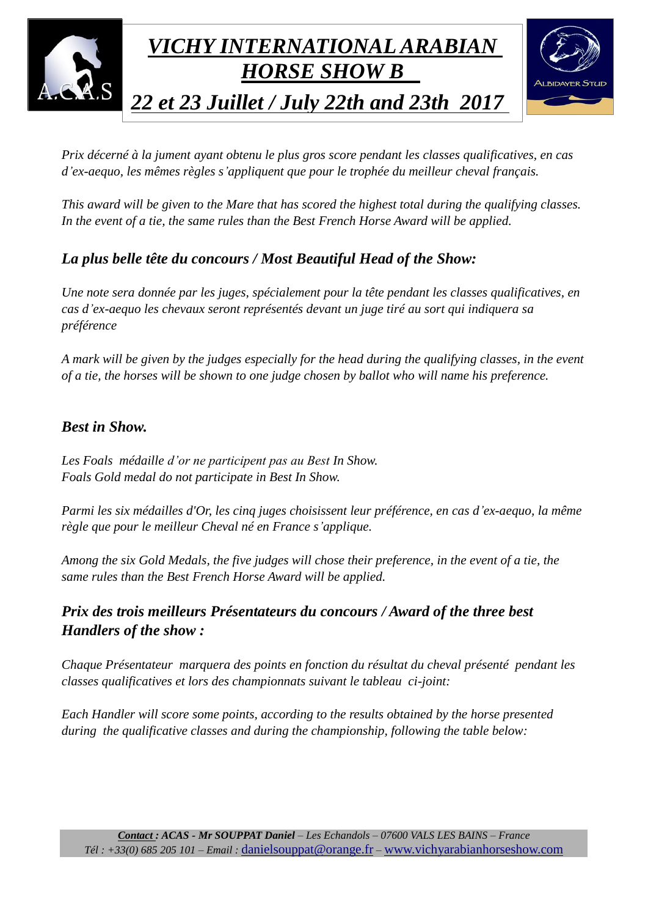

*Prix décerné à la jument ayant obtenu le plus gros score pendant les classes qualificatives, en cas d'ex-aequo, les mêmes règles s'appliquent que pour le trophée du meilleur cheval français.*

*This award will be given to the Mare that has scored the highest total during the qualifying classes. In the event of a tie, the same rules than the Best French Horse Award will be applied.*

# *La plus belle tête du concours / Most Beautiful Head of the Show:*

*Une note sera donnée par les juges, spécialement pour la tête pendant les classes qualificatives, en cas d'ex-aequo les chevaux seront représentés devant un juge tiré au sort qui indiquera sa préférence*

*A mark will be given by the judges especially for the head during the qualifying classes, in the event of a tie, the horses will be shown to one judge chosen by ballot who will name his preference.*

### *Best in Show.*

*Les Foals médaille d'or ne participent pas au Best In Show. Foals Gold medal do not participate in Best In Show.*

*Parmi les six médailles d'Or, les cinq juges choisissent leur préférence, en cas d'ex-aequo, la même règle que pour le meilleur Cheval né en France s'applique.*

Among the six Gold Medals, the five judges will chose their preference, in the event of a tie, the *same rules than the Best French Horse Award will be applied.*

# *Prix des trois meilleurs Présentateurs du concours / Award of the three best Handlers of the show :*

*Chaque Présentateur marquera des points en fonction du résultat du cheval présenté pendant les classes qualificatives et lors des championnats suivant le tableau ci-joint:*

*Each Handler will score some points, according to the results obtained by the horse presented during the qualificative classes and during the championship, following the table below:*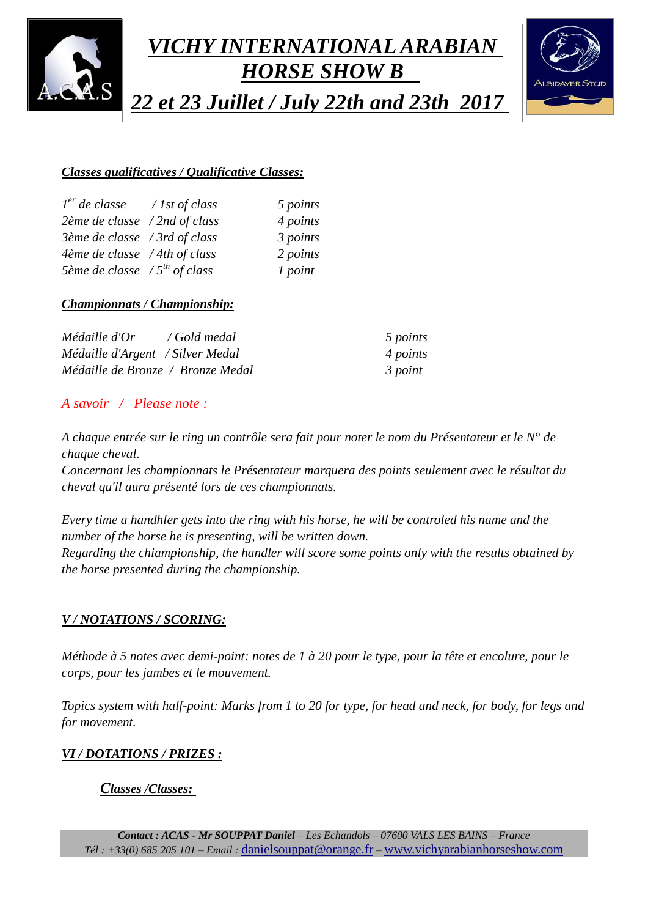



*22 et 23 Juillet / July 22th and 23th 2017*

### *Classes qualificatives / Qualificative Classes:*

| $1er$ de classe / 1st of class                  | 5 points |
|-------------------------------------------------|----------|
| 2ème de classe / 2nd of class                   | 4 points |
| 3ème de classe / 3rd of class                   | 3 points |
| $4\text{`eme de classe } / 4\text{th of class}$ | 2 points |
| 5ème de classe / $5^{th}$ of class              | 1 point  |

### *Championnats / Championship:*

| Médaille d'Or                    | / Gold medal                      | 5 points |
|----------------------------------|-----------------------------------|----------|
| Médaille d'Argent / Silver Medal |                                   | 4 points |
|                                  | Médaille de Bronze / Bronze Medal | 3 point  |

### *A savoir / Please note :*

*A chaque entrée sur le ring un contrôle sera fait pour noter le nom du Présentateur et le N° de chaque cheval.* 

*Concernant les championnats le Présentateur marquera des points seulement avec le résultat du cheval qu'il aura présenté lors de ces championnats.* 

*Every time a handhler gets into the ring with his horse, he will be controled his name and the number of the horse he is presenting, will be written down. Regarding the chiampionship, the handler will score some points only with the results obtained by the horse presented during the championship.* 

### *V / NOTATIONS / SCORING:*

Méthode à 5 notes avec demi-point: notes de 1 à 20 pour le type, pour la tête et encolure, pour le *corps, pour les jambes et le mouvement.*

Topics system with half-point: Marks from 1 to 20 for type, for head and neck, for body, for legs and *for movement.*

### *VI / DOTATIONS / PRIZES :*

*Classes /Classes:*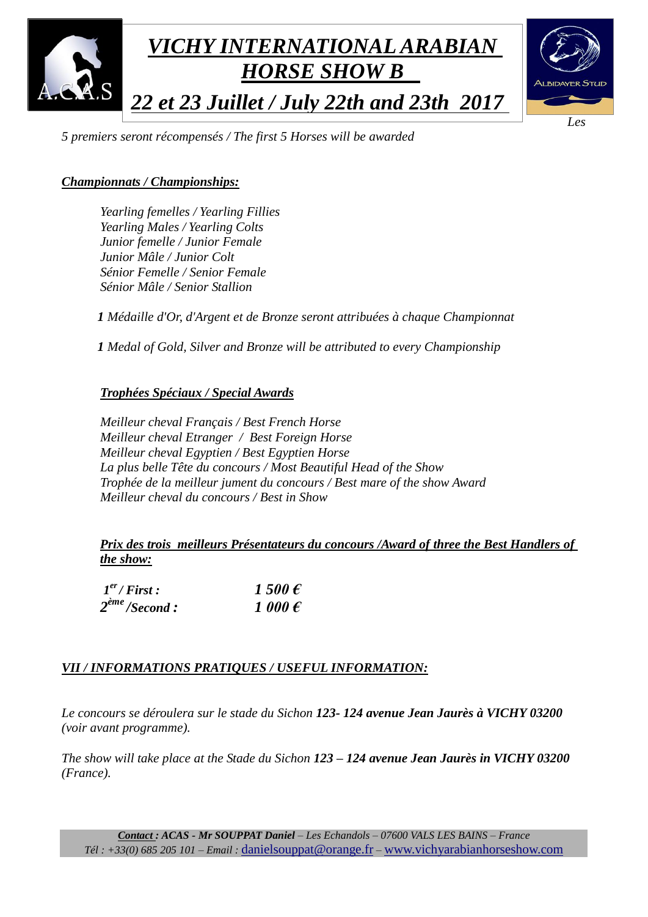

*5 premiers seront récompensés / The first 5 Horses will be awarded*

### *Championnats / Championships:*

*Yearling femelles / Yearling Fillies Yearling Males / Yearling Colts Junior femelle / Junior Female Junior Mâle / Junior Colt Sénior Femelle / Senior Female Sénior Mâle / Senior Stallion* 

 *1 Médaille d'Or, d'Argent et de Bronze seront attribuées à chaque Championnat*

 *1 Medal of Gold, Silver and Bronze will be attributed to every Championship*

### *Trophées Spéciaux / Special Awards*

*Meilleur cheval Français / Best French Horse Meilleur cheval Etranger / Best Foreign Horse Meilleur cheval Egyptien / Best Egyptien Horse La plus belle Tête du concours / Most Beautiful Head of the Show Trophée de la meilleur jument du concours / Best mare of the show Award Meilleur cheval du concours / Best in Show*

*Prix des trois meilleurs Présentateurs du concours /Award of three the Best Handlers of the show:*

| $1er$ / First :             | $1500 \,\epsilon$ |
|-----------------------------|-------------------|
| $2^{\grave{e}me}$ /Second : | 1 000 $\epsilon$  |

### *VII / INFORMATIONS PRATIQUES / USEFUL INFORMATION:*

*Le concours se déroulera sur le stade du Sichon 123- 124 avenue Jean Jaurès à VICHY 03200 (voir avant programme).*

*The show will take place at the Stade du Sichon 123 – 124 avenue Jean Jaurès in VICHY 03200 (France).*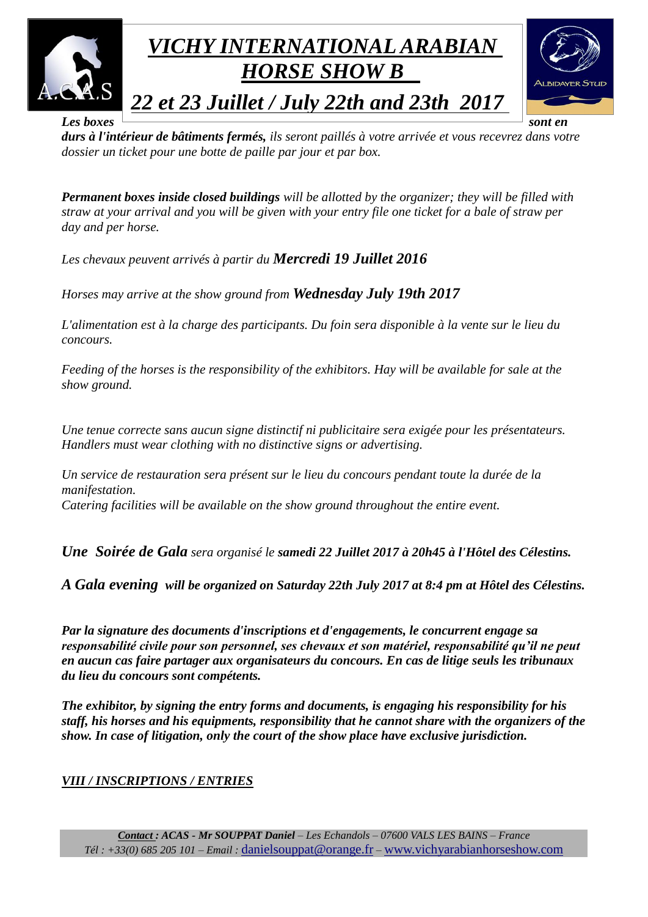

*Les boxes* sont en

*durs à l'intérieur de bâtiments fermés, ils seront paillés à votre arrivée et vous recevrez dans votre dossier un ticket pour une botte de paille par jour et par box.* 

*Permanent boxes inside closed buildings will be allotted by the organizer; they will be filled with straw at your arrival and you will be given with your entry file one ticket for a bale of straw per day and per horse.*

*Les chevaux peuvent arrivés à partir du Mercredi 19 Juillet 2016*

*Horses may arrive at the show ground from Wednesday July 19th 2017*

*L'alimentation est à la charge des participants. Du foin sera disponible à la vente sur le lieu du concours.*

*Feeding of the horses is the responsibility of the exhibitors. Hay will be available for sale at the show ground.*

*Une tenue correcte sans aucun signe distinctif ni publicitaire sera exigée pour les présentateurs. Handlers must wear clothing with no distinctive signs or advertising.*

*Un service de restauration sera présent sur le lieu du concours pendant toute la durée de la manifestation. Catering facilities will be available on the show ground throughout the entire event.* 

*Une Soirée de Gala sera organisé le samedi 22 Juillet 2017 à 20h45 à l'Hôtel des Célestins.*

*A Gala evening will be organized on Saturday 22th July 2017 at 8:4 pm at Hôtel des Célestins.*

*Par la signature des documents d'inscriptions et d'engagements, le concurrent engage sa responsabilité civile pour son personnel, ses chevaux et son matériel, responsabilité qu'il ne peut en aucun cas faire partager aux organisateurs du concours. En cas de litige seuls les tribunaux du lieu du concours sont compétents.* 

*The exhibitor, by signing the entry forms and documents, is engaging his responsibility for his staff, his horses and his equipments, responsibility that he cannot share with the organizers of the show. In case of litigation, only the court of the show place have exclusive jurisdiction.*

### *VIII / INSCRIPTIONS / ENTRIES*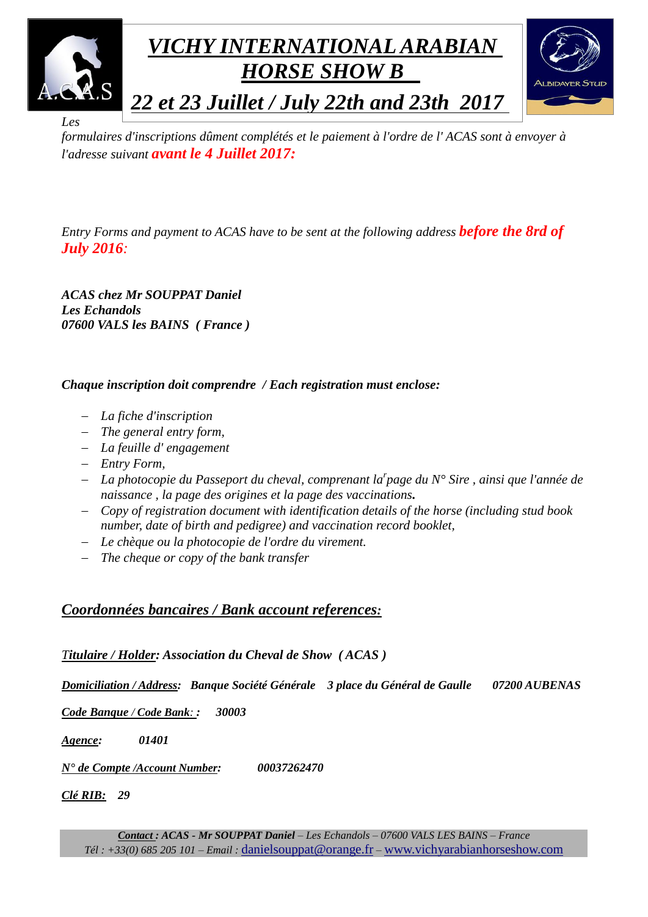

*Les* 

*formulaires d'inscriptions dûment complétés et le paiement à l'ordre de l' ACAS sont à envoyer à l'adresse suivant avant le 4 Juillet 2017:*

*Entry Forms and payment to ACAS have to be sent at the following address before the 8rd of July 2016:*

*ACAS chez Mr SOUPPAT Daniel Les Echandols 07600 VALS les BAINS ( France )*

### *Chaque inscription doit comprendre / Each registration must enclose:*

- *La fiche d'inscription*
- *The general entry form,*
- *La feuille d' engagement*
- *Entry Form,*
- *La photocopie du Passeport du cheval, comprenant la<sup>r</sup> page du N° Sire , ainsi que l'année de naissance , la page des origines et la page des vaccinations.*
- *Copy of registration document with identification details of the horse (including stud book number, date of birth and pedigree) and vaccination record booklet,*
- *Le chèque ou la photocopie de l'ordre du virement.*
- *The cheque or copy of the bank transfer*

### *Coordonnées bancaires / Bank account references:*

*Titulaire / Holder: Association du Cheval de Show ( ACAS )*

*Domiciliation / Address: Banque Société Générale 3 place du Général de Gaulle 07200 AUBENAS*

*Code Banque / Code Bank: : 30003*

*Agence: 01401*

*N° de Compte /Account Number: 00037262470*

*Clé RIB: 29*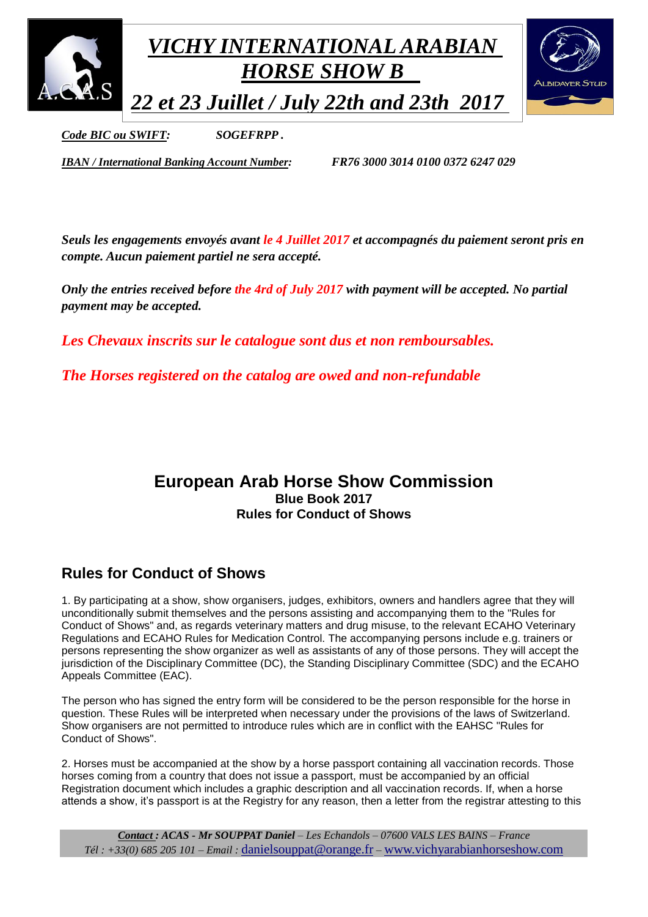

*Code BIC ou SWIFT: SOGEFRPP .*

*IBAN / International Banking Account Number: FR76 3000 3014 0100 0372 6247 029*

*Seuls les engagements envoyés avant le 4 Juillet 2017 et accompagnés du paiement seront pris en compte. Aucun paiement partiel ne sera accepté.*

*Only the entries received before the 4rd of July 2017 with payment will be accepted. No partial payment may be accepted.*

*Les Chevaux inscrits sur le catalogue sont dus et non remboursables.*

*The Horses registered on the catalog are owed and non-refundable*

### **European Arab Horse Show Commission Blue Book 2017 Rules for Conduct of Shows**

# **Rules for Conduct of Shows**

1. By participating at a show, show organisers, judges, exhibitors, owners and handlers agree that they will unconditionally submit themselves and the persons assisting and accompanying them to the "Rules for Conduct of Shows" and, as regards veterinary matters and drug misuse, to the relevant ECAHO Veterinary Regulations and ECAHO Rules for Medication Control. The accompanying persons include e.g. trainers or persons representing the show organizer as well as assistants of any of those persons. They will accept the jurisdiction of the Disciplinary Committee (DC), the Standing Disciplinary Committee (SDC) and the ECAHO Appeals Committee (EAC).

The person who has signed the entry form will be considered to be the person responsible for the horse in question. These Rules will be interpreted when necessary under the provisions of the laws of Switzerland. Show organisers are not permitted to introduce rules which are in conflict with the EAHSC "Rules for Conduct of Shows".

2. Horses must be accompanied at the show by a horse passport containing all vaccination records. Those horses coming from a country that does not issue a passport, must be accompanied by an official Registration document which includes a graphic description and all vaccination records. If, when a horse attends a show, it's passport is at the Registry for any reason, then a letter from the registrar attesting to this

*Contact : ACAS - Mr SOUPPAT Daniel – Les Echandols – 07600 VALS LES BAINS – France Tél : +33(0) 685 205 101 – Email :* danielsouppat@orange.fr *–* www.vichyarabianhorseshow.com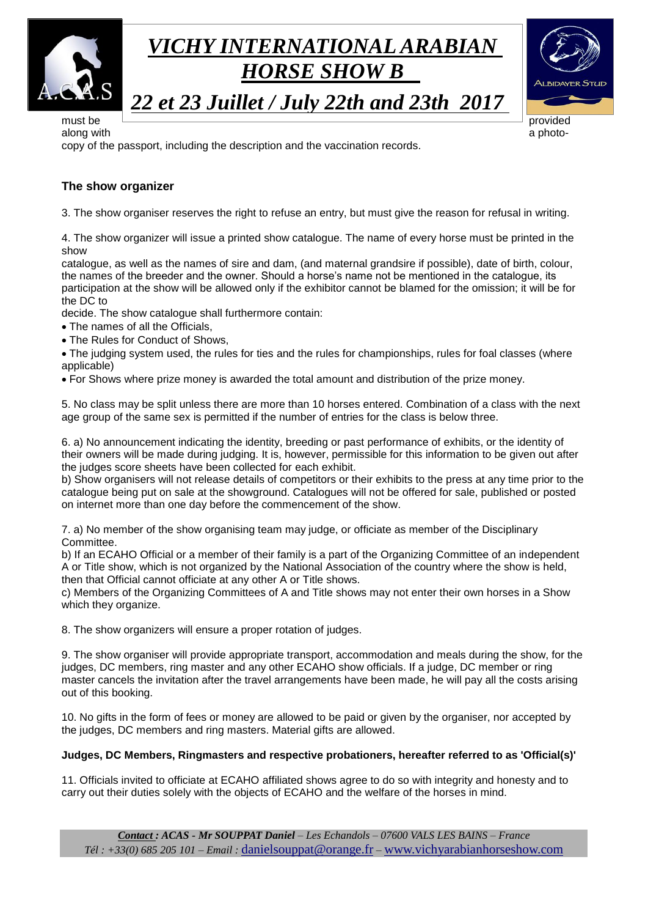



*22 et 23 Juillet / July 22th and 23th 2017* must be  $\qquad \qquad \Box$  provided  $\Box$ 

along with a photo-controlled by the photo-controlled by the photo-controlled by the photo-controlled by the p copy of the passport, including the description and the vaccination records.

### **The show organizer**

3. The show organiser reserves the right to refuse an entry, but must give the reason for refusal in writing.

4. The show organizer will issue a printed show catalogue. The name of every horse must be printed in the show

catalogue, as well as the names of sire and dam, (and maternal grandsire if possible), date of birth, colour, the names of the breeder and the owner. Should a horse's name not be mentioned in the catalogue, its participation at the show will be allowed only if the exhibitor cannot be blamed for the omission; it will be for the DC to

decide. The show catalogue shall furthermore contain:

- The names of all the Officials,
- The Rules for Conduct of Shows.

The judging system used, the rules for ties and the rules for championships, rules for foal classes (where applicable)

For Shows where prize money is awarded the total amount and distribution of the prize money.

5. No class may be split unless there are more than 10 horses entered. Combination of a class with the next age group of the same sex is permitted if the number of entries for the class is below three.

6. a) No announcement indicating the identity, breeding or past performance of exhibits, or the identity of their owners will be made during judging. It is, however, permissible for this information to be given out after the judges score sheets have been collected for each exhibit.

b) Show organisers will not release details of competitors or their exhibits to the press at any time prior to the catalogue being put on sale at the showground. Catalogues will not be offered for sale, published or posted on internet more than one day before the commencement of the show.

7. a) No member of the show organising team may judge, or officiate as member of the Disciplinary Committee.

b) If an ECAHO Official or a member of their family is a part of the Organizing Committee of an independent A or Title show, which is not organized by the National Association of the country where the show is held, then that Official cannot officiate at any other A or Title shows.

c) Members of the Organizing Committees of A and Title shows may not enter their own horses in a Show which they organize.

8. The show organizers will ensure a proper rotation of judges.

9. The show organiser will provide appropriate transport, accommodation and meals during the show, for the judges, DC members, ring master and any other ECAHO show officials. If a judge, DC member or ring master cancels the invitation after the travel arrangements have been made, he will pay all the costs arising out of this booking.

10. No gifts in the form of fees or money are allowed to be paid or given by the organiser, nor accepted by the judges, DC members and ring masters. Material gifts are allowed.

#### **Judges, DC Members, Ringmasters and respective probationers, hereafter referred to as 'Official(s)'**

11. Officials invited to officiate at ECAHO affiliated shows agree to do so with integrity and honesty and to carry out their duties solely with the objects of ECAHO and the welfare of the horses in mind.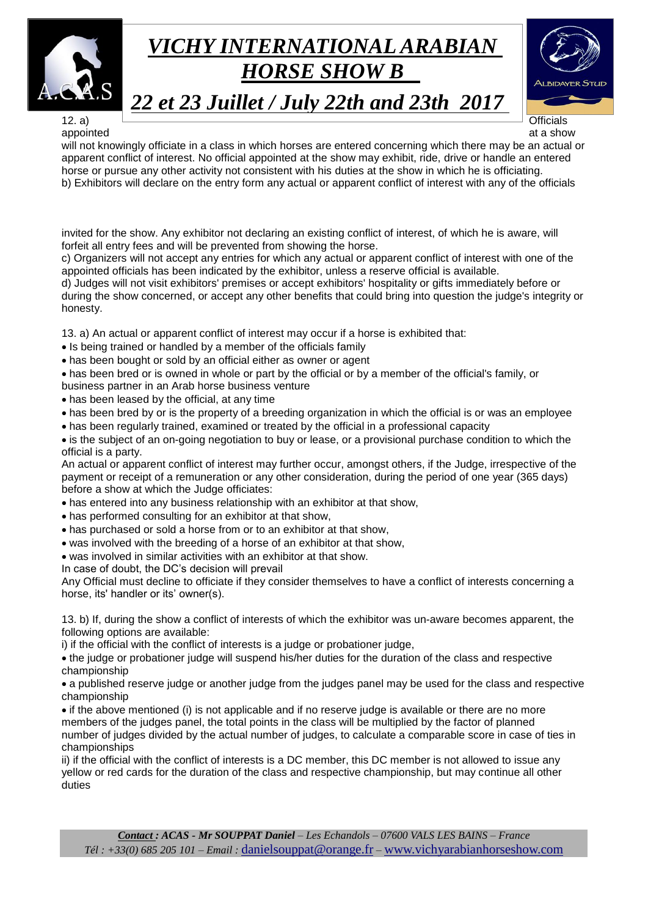



*22 et 23 Juillet / July 22th and 23th 2017*

12. a) Officials

appointed at a show and a show a show a show a show a show a show a show a show a show a show a show will not knowingly officiate in a class in which horses are entered concerning which there may be an actual or apparent conflict of interest. No official appointed at the show may exhibit, ride, drive or handle an entered horse or pursue any other activity not consistent with his duties at the show in which he is officiating. b) Exhibitors will declare on the entry form any actual or apparent conflict of interest with any of the officials

invited for the show. Any exhibitor not declaring an existing conflict of interest, of which he is aware, will forfeit all entry fees and will be prevented from showing the horse.

c) Organizers will not accept any entries for which any actual or apparent conflict of interest with one of the appointed officials has been indicated by the exhibitor, unless a reserve official is available.

d) Judges will not visit exhibitors' premises or accept exhibitors' hospitality or gifts immediately before or during the show concerned, or accept any other benefits that could bring into question the judge's integrity or honesty.

13. a) An actual or apparent conflict of interest may occur if a horse is exhibited that:

- Is being trained or handled by a member of the officials family
- has been bought or sold by an official either as owner or agent

has been bred or is owned in whole or part by the official or by a member of the official's family, or business partner in an Arab horse business venture

- has been leased by the official, at any time
- has been bred by or is the property of a breeding organization in which the official is or was an employee
- has been regularly trained, examined or treated by the official in a professional capacity

is the subject of an on-going negotiation to buy or lease, or a provisional purchase condition to which the official is a party.

An actual or apparent conflict of interest may further occur, amongst others, if the Judge, irrespective of the payment or receipt of a remuneration or any other consideration, during the period of one year (365 days) before a show at which the Judge officiates:

- has entered into any business relationship with an exhibitor at that show,
- has performed consulting for an exhibitor at that show,
- has purchased or sold a horse from or to an exhibitor at that show,
- was involved with the breeding of a horse of an exhibitor at that show,
- was involved in similar activities with an exhibitor at that show.
- In case of doubt, the DC's decision will prevail

Any Official must decline to officiate if they consider themselves to have a conflict of interests concerning a horse, its' handler or its' owner(s).

13. b) If, during the show a conflict of interests of which the exhibitor was un-aware becomes apparent, the following options are available:

i) if the official with the conflict of interests is a judge or probationer judge,

the judge or probationer judge will suspend his/her duties for the duration of the class and respective championship

a published reserve judge or another judge from the judges panel may be used for the class and respective championship

• if the above mentioned (i) is not applicable and if no reserve judge is available or there are no more members of the judges panel, the total points in the class will be multiplied by the factor of planned number of judges divided by the actual number of judges, to calculate a comparable score in case of ties in championships

ii) if the official with the conflict of interests is a DC member, this DC member is not allowed to issue any yellow or red cards for the duration of the class and respective championship, but may continue all other duties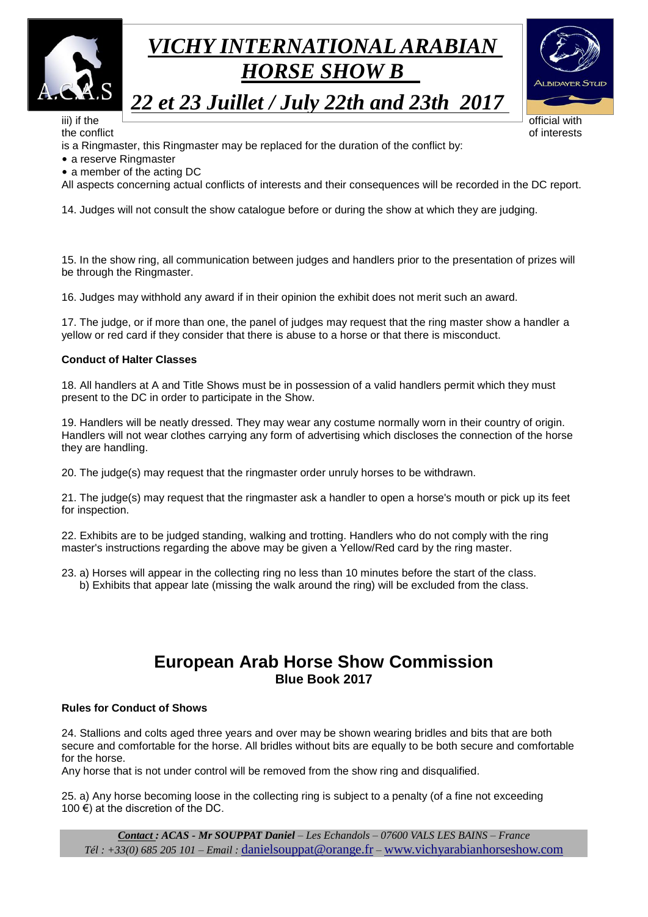



*22 et 23 Juillet / July 22th and 23th 2017*

iii) if the deterministic order to the order of the order of the order of the order of the order of the order o

the conflict the conflict of interests of interests of interests of interests of interests of interests of  $\alpha$ is a Ringmaster, this Ringmaster may be replaced for the duration of the conflict by:

- a reserve Ringmaster
- a member of the acting DC

All aspects concerning actual conflicts of interests and their consequences will be recorded in the DC report.

14. Judges will not consult the show catalogue before or during the show at which they are judging.

15. In the show ring, all communication between judges and handlers prior to the presentation of prizes will be through the Ringmaster.

16. Judges may withhold any award if in their opinion the exhibit does not merit such an award.

17. The judge, or if more than one, the panel of judges may request that the ring master show a handler a yellow or red card if they consider that there is abuse to a horse or that there is misconduct.

#### **Conduct of Halter Classes**

18. All handlers at A and Title Shows must be in possession of a valid handlers permit which they must present to the DC in order to participate in the Show.

19. Handlers will be neatly dressed. They may wear any costume normally worn in their country of origin. Handlers will not wear clothes carrying any form of advertising which discloses the connection of the horse they are handling.

20. The judge(s) may request that the ringmaster order unruly horses to be withdrawn.

21. The judge(s) may request that the ringmaster ask a handler to open a horse's mouth or pick up its feet for inspection.

22. Exhibits are to be judged standing, walking and trotting. Handlers who do not comply with the ring master's instructions regarding the above may be given a Yellow/Red card by the ring master.

23. a) Horses will appear in the collecting ring no less than 10 minutes before the start of the class. b) Exhibits that appear late (missing the walk around the ring) will be excluded from the class.

# **European Arab Horse Show Commission Blue Book 2017**

#### **Rules for Conduct of Shows**

24. Stallions and colts aged three years and over may be shown wearing bridles and bits that are both secure and comfortable for the horse. All bridles without bits are equally to be both secure and comfortable for the horse.

Any horse that is not under control will be removed from the show ring and disqualified.

25. a) Any horse becoming loose in the collecting ring is subject to a penalty (of a fine not exceeding 100  $\epsilon$ ) at the discretion of the DC.

*Contact : ACAS - Mr SOUPPAT Daniel – Les Echandols – 07600 VALS LES BAINS – France Tél : +33(0) 685 205 101 – Email :* danielsouppat@orange.fr *–* www.vichyarabianhorseshow.com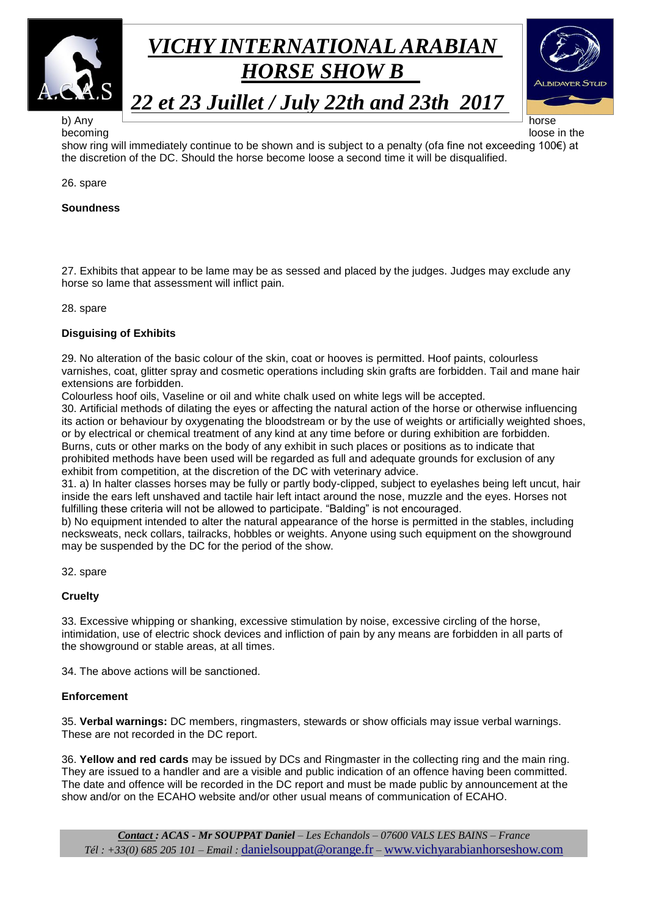



# *22 et 23 Juillet / July 22th and 23th 2017*

### b) Any horse horse in the contract of the contract of the contract of the contract of the contract of the contract of the contract of the contract of the contract of the contract of the contract of the contract of the cont

becoming loose in the loose in the loose in the loose in the loose in the loose in the loose in the loose in the loose in the loose in the loose in the loose in the loose in the loose in the loose in the loose in the loose

show ring will immediately continue to be shown and is subject to a penalty (ofa fine not exceeding 100€) at the discretion of the DC. Should the horse become loose a second time it will be disqualified.

### 26. spare

#### **Soundness**

27. Exhibits that appear to be lame may be as sessed and placed by the judges. Judges may exclude any horse so lame that assessment will inflict pain.

28. spare

### **Disguising of Exhibits**

29. No alteration of the basic colour of the skin, coat or hooves is permitted. Hoof paints, colourless varnishes, coat, glitter spray and cosmetic operations including skin grafts are forbidden. Tail and mane hair extensions are forbidden.

Colourless hoof oils, Vaseline or oil and white chalk used on white legs will be accepted.

30. Artificial methods of dilating the eyes or affecting the natural action of the horse or otherwise influencing its action or behaviour by oxygenating the bloodstream or by the use of weights or artificially weighted shoes, or by electrical or chemical treatment of any kind at any time before or during exhibition are forbidden. Burns, cuts or other marks on the body of any exhibit in such places or positions as to indicate that prohibited methods have been used will be regarded as full and adequate grounds for exclusion of any exhibit from competition, at the discretion of the DC with veterinary advice.

31. a) In halter classes horses may be fully or partly body-clipped, subject to eyelashes being left uncut, hair inside the ears left unshaved and tactile hair left intact around the nose, muzzle and the eyes. Horses not fulfilling these criteria will not be allowed to participate. "Balding" is not encouraged.

b) No equipment intended to alter the natural appearance of the horse is permitted in the stables, including necksweats, neck collars, tailracks, hobbles or weights. Anyone using such equipment on the showground may be suspended by the DC for the period of the show.

#### 32. spare

#### **Cruelty**

33. Excessive whipping or shanking, excessive stimulation by noise, excessive circling of the horse, intimidation, use of electric shock devices and infliction of pain by any means are forbidden in all parts of the showground or stable areas, at all times.

34. The above actions will be sanctioned.

#### **Enforcement**

35. **Verbal warnings:** DC members, ringmasters, stewards or show officials may issue verbal warnings. These are not recorded in the DC report.

36. **Yellow and red cards** may be issued by DCs and Ringmaster in the collecting ring and the main ring. They are issued to a handler and are a visible and public indication of an offence having been committed. The date and offence will be recorded in the DC report and must be made public by announcement at the show and/or on the ECAHO website and/or other usual means of communication of ECAHO.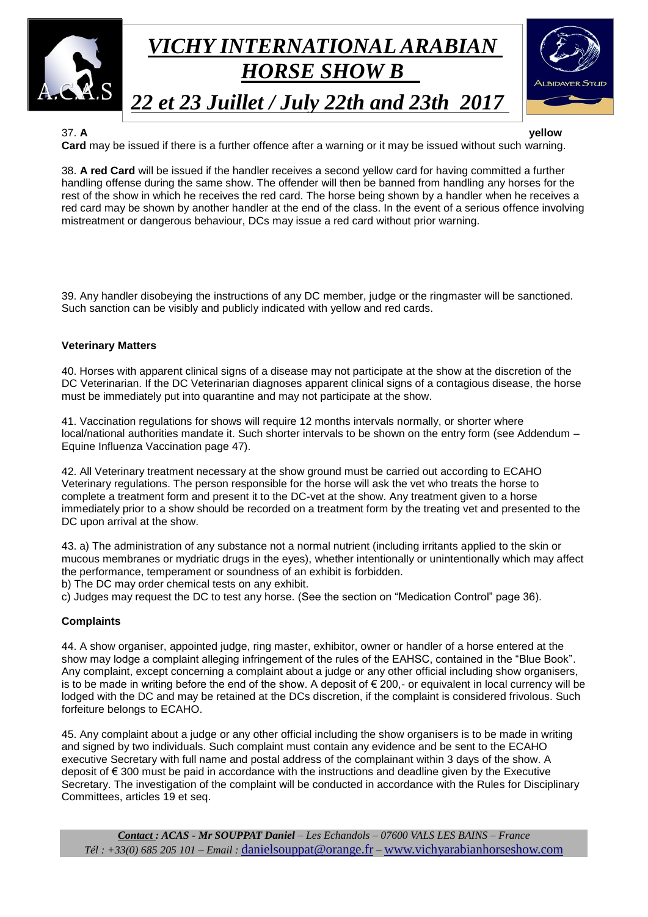

37. **A yellow** 

**Card** may be issued if there is a further offence after a warning or it may be issued without such warning.

38. **A red Card** will be issued if the handler receives a second yellow card for having committed a further handling offense during the same show. The offender will then be banned from handling any horses for the rest of the show in which he receives the red card. The horse being shown by a handler when he receives a red card may be shown by another handler at the end of the class. In the event of a serious offence involving mistreatment or dangerous behaviour, DCs may issue a red card without prior warning.

39. Any handler disobeying the instructions of any DC member, judge or the ringmaster will be sanctioned. Such sanction can be visibly and publicly indicated with yellow and red cards.

#### **Veterinary Matters**

40. Horses with apparent clinical signs of a disease may not participate at the show at the discretion of the DC Veterinarian. If the DC Veterinarian diagnoses apparent clinical signs of a contagious disease, the horse must be immediately put into quarantine and may not participate at the show.

41. Vaccination regulations for shows will require 12 months intervals normally, or shorter where local/national authorities mandate it. Such shorter intervals to be shown on the entry form (see Addendum – Equine Influenza Vaccination page 47).

42. All Veterinary treatment necessary at the show ground must be carried out according to ECAHO Veterinary regulations. The person responsible for the horse will ask the vet who treats the horse to complete a treatment form and present it to the DC-vet at the show. Any treatment given to a horse immediately prior to a show should be recorded on a treatment form by the treating vet and presented to the DC upon arrival at the show.

43. a) The administration of any substance not a normal nutrient (including irritants applied to the skin or mucous membranes or mydriatic drugs in the eyes), whether intentionally or unintentionally which may affect the performance, temperament or soundness of an exhibit is forbidden.

b) The DC may order chemical tests on any exhibit.

c) Judges may request the DC to test any horse. (See the section on "Medication Control" page 36).

#### **Complaints**

44. A show organiser, appointed judge, ring master, exhibitor, owner or handler of a horse entered at the show may lodge a complaint alleging infringement of the rules of the EAHSC, contained in the "Blue Book". Any complaint, except concerning a complaint about a judge or any other official including show organisers, is to be made in writing before the end of the show. A deposit of  $\epsilon$  200,- or equivalent in local currency will be lodged with the DC and may be retained at the DCs discretion, if the complaint is considered frivolous. Such forfeiture belongs to ECAHO.

45. Any complaint about a judge or any other official including the show organisers is to be made in writing and signed by two individuals. Such complaint must contain any evidence and be sent to the ECAHO executive Secretary with full name and postal address of the complainant within 3 days of the show. A deposit of € 300 must be paid in accordance with the instructions and deadline given by the Executive Secretary. The investigation of the complaint will be conducted in accordance with the Rules for Disciplinary Committees, articles 19 et seq.

*Contact : ACAS - Mr SOUPPAT Daniel – Les Echandols – 07600 VALS LES BAINS – France Tél : +33(0) 685 205 101 – Email :* danielsouppat@orange.fr *–* www.vichyarabianhorseshow.com